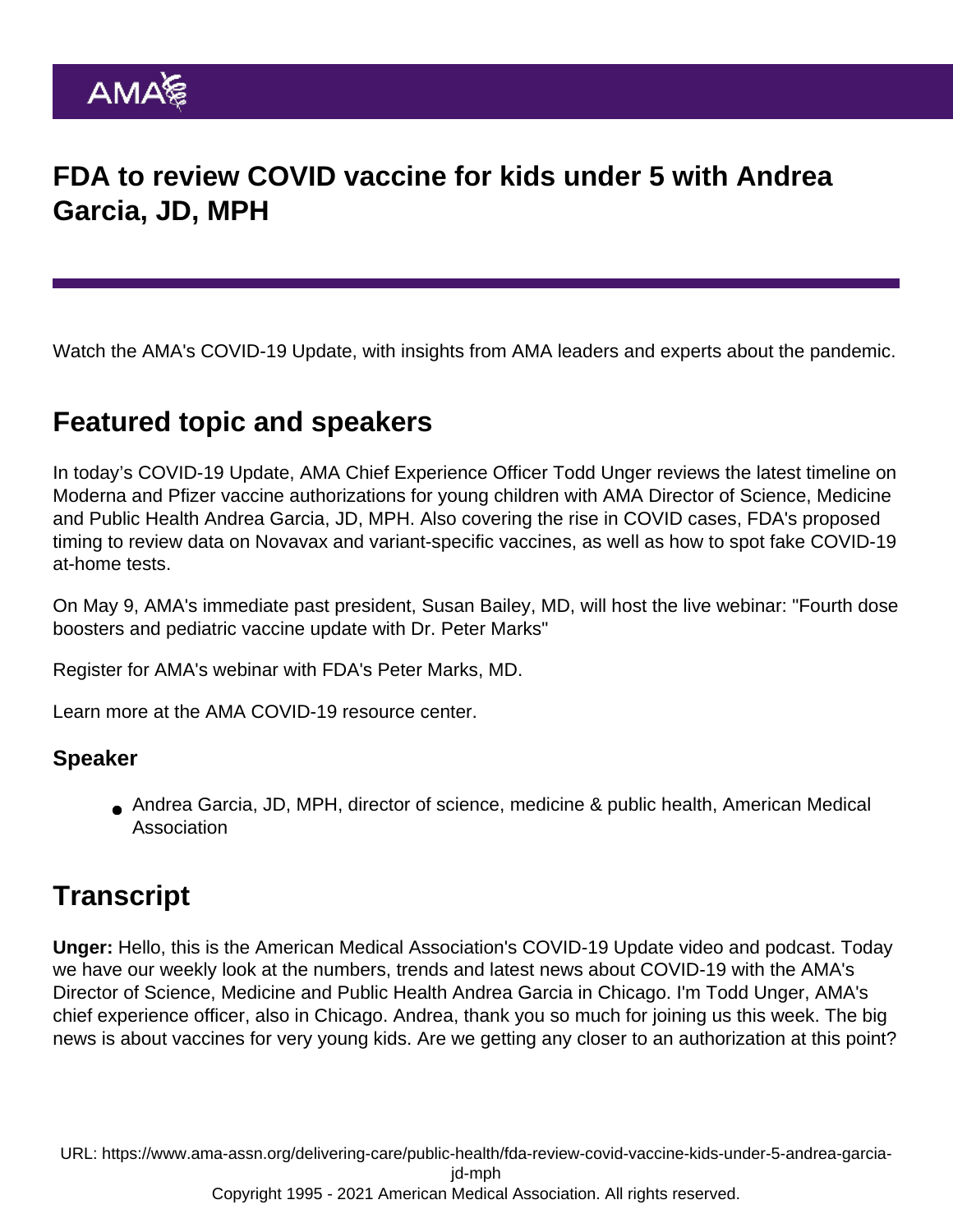## FDA to review COVID vaccine for kids under 5 with Andrea Garcia, JD, MPH

Watch the AMA's COVID-19 Update, with insights from AMA leaders and experts about the pandemic.

## Featured topic and speakers

In today's COVID-19 Update, AMA Chief Experience Officer Todd Unger reviews the latest timeline on Moderna and Pfizer vaccine authorizations for young children with AMA Director of Science, Medicine and Public Health Andrea Garcia, JD, MPH. Also covering the rise in COVID cases, FDA's proposed timing to review data on Novavax and variant-specific vaccines, as well as how to spot fake COVID-19 at-home tests.

On May 9, AMA's immediate past president, Susan Bailey, MD, will host the live webinar: "Fourth dose boosters and pediatric vaccine update with Dr. Peter Marks"

[Register for AMA's webinar with FDA's Peter Marks, MD.](https://www.ama-assn.org/delivering-care/public-health/covid-19-webinar-series-fourth-dose-boosters-and-pediatric-vaccine)

Learn more at the [AMA COVID-19 resource center](https://www.ama-assn.org/delivering-care/public-health/covid-19-2019-novel-coronavirus-resource-center-physicians).

## Speaker

Andrea Garcia, JD, MPH, director of science, medicine & public health, American Medical Association

## **Transcript**

Unger: Hello, this is the American Medical Association's COVID-19 Update video and podcast. Today we have our weekly look at the numbers, trends and latest news about COVID-19 with the AMA's Director of Science, Medicine and Public Health Andrea Garcia in Chicago. I'm Todd Unger, AMA's chief experience officer, also in Chicago. Andrea, thank you so much for joining us this week. The big news is about vaccines for very young kids. Are we getting any closer to an authorization at this point?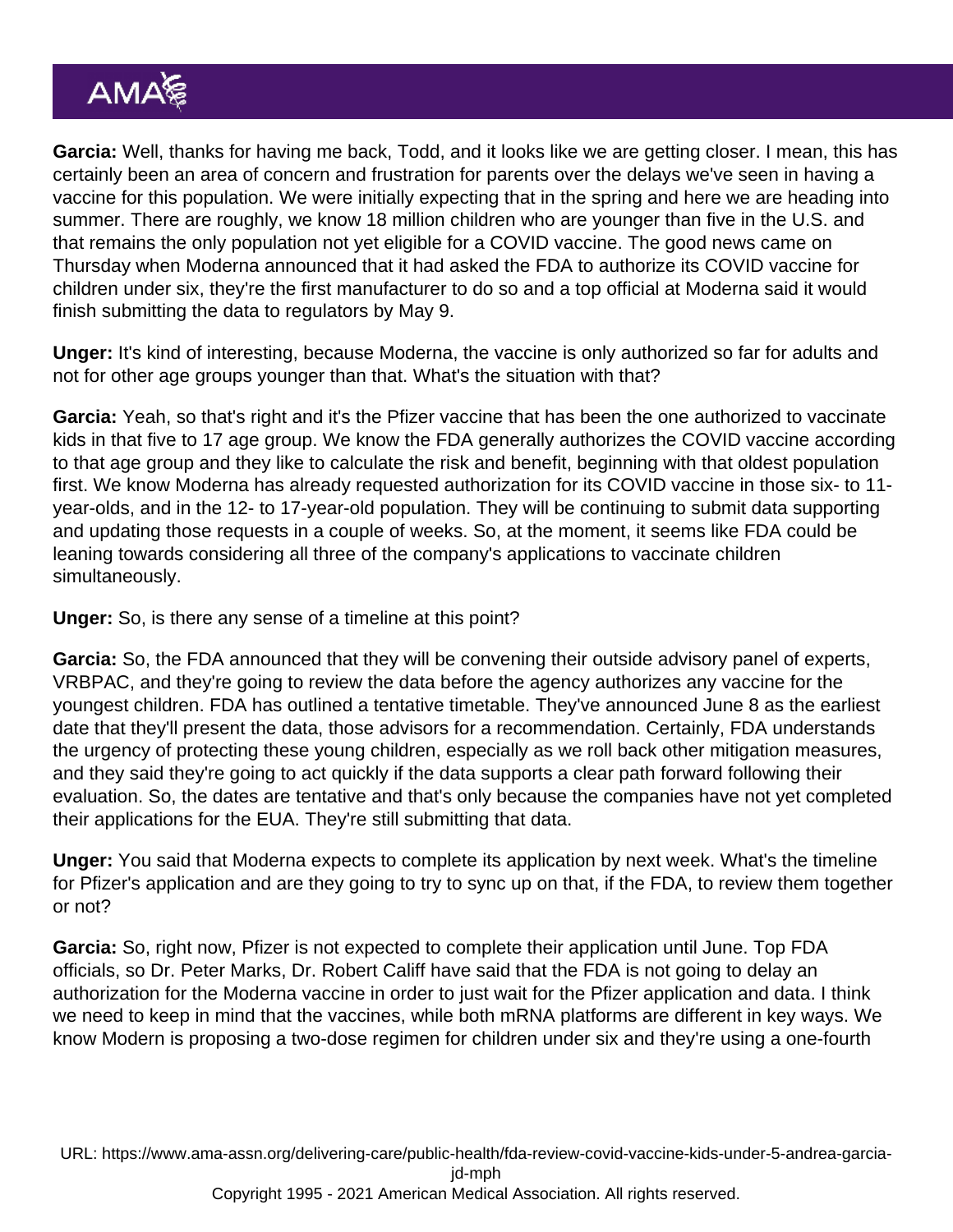Garcia: Well, thanks for having me back, Todd, and it looks like we are getting closer. I mean, this has certainly been an area of concern and frustration for parents over the delays we've seen in having a vaccine for this population. We were initially expecting that in the spring and here we are heading into summer. There are roughly, we know 18 million children who are younger than five in the U.S. and that remains the only population not yet eligible for a COVID vaccine. The good news came on Thursday when Moderna announced that it had asked the FDA to authorize its COVID vaccine for children under six, they're the first manufacturer to do so and a top official at Moderna said it would finish submitting the data to regulators by May 9.

Unger: It's kind of interesting, because Moderna, the vaccine is only authorized so far for adults and not for other age groups younger than that. What's the situation with that?

Garcia: Yeah, so that's right and it's the Pfizer vaccine that has been the one authorized to vaccinate kids in that five to 17 age group. We know the FDA generally authorizes the COVID vaccine according to that age group and they like to calculate the risk and benefit, beginning with that oldest population first. We know Moderna has already requested authorization for its COVID vaccine in those six- to 11 year-olds, and in the 12- to 17-year-old population. They will be continuing to submit data supporting and updating those requests in a couple of weeks. So, at the moment, it seems like FDA could be leaning towards considering all three of the company's applications to vaccinate children simultaneously.

Unger: So, is there any sense of a timeline at this point?

Garcia: So, the FDA announced that they will be convening their outside advisory panel of experts, VRBPAC, and they're going to review the data before the agency authorizes any vaccine for the youngest children. FDA has outlined a tentative timetable. They've announced June 8 as the earliest date that they'll present the data, those advisors for a recommendation. Certainly, FDA understands the urgency of protecting these young children, especially as we roll back other mitigation measures, and they said they're going to act quickly if the data supports a clear path forward following their evaluation. So, the dates are tentative and that's only because the companies have not yet completed their applications for the EUA. They're still submitting that data.

Unger: You said that Moderna expects to complete its application by next week. What's the timeline for Pfizer's application and are they going to try to sync up on that, if the FDA, to review them together or not?

Garcia: So, right now, Pfizer is not expected to complete their application until June. Top FDA officials, so Dr. Peter Marks, Dr. Robert Califf have said that the FDA is not going to delay an authorization for the Moderna vaccine in order to just wait for the Pfizer application and data. I think we need to keep in mind that the vaccines, while both mRNA platforms are different in key ways. We know Modern is proposing a two-dose regimen for children under six and they're using a one-fourth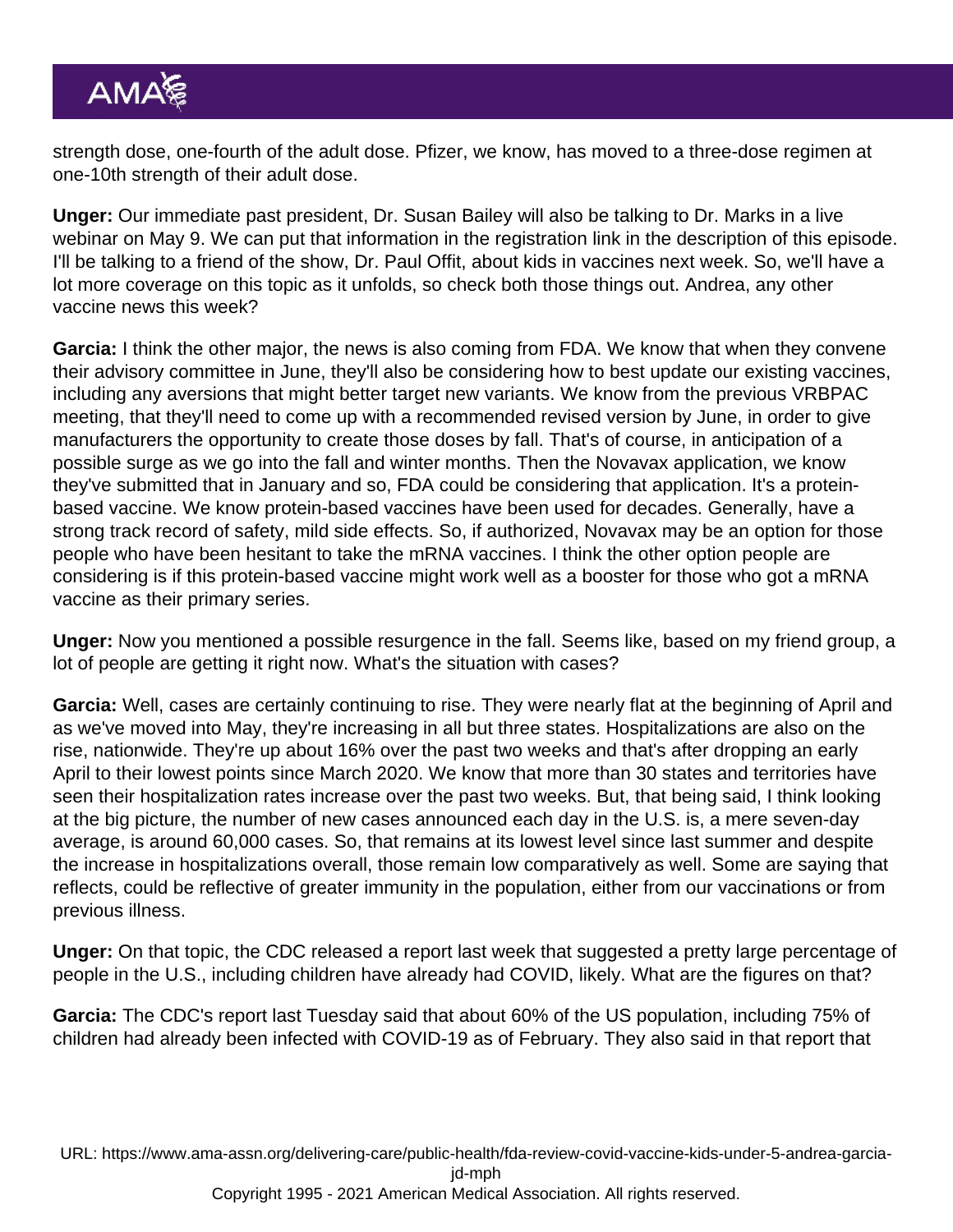strength dose, one-fourth of the adult dose. Pfizer, we know, has moved to a three-dose regimen at one-10th strength of their adult dose.

Unger: Our immediate past president, Dr. Susan Bailey will also be talking to Dr. Marks in a live webinar on May 9. We can put that information in the registration link in the description of this episode. I'll be talking to a friend of the show, Dr. Paul Offit, about kids in vaccines next week. So, we'll have a lot more coverage on this topic as it unfolds, so check both those things out. Andrea, any other vaccine news this week?

Garcia: I think the other major, the news is also coming from FDA. We know that when they convene their advisory committee in June, they'll also be considering how to best update our existing vaccines, including any aversions that might better target new variants. We know from the previous VRBPAC meeting, that they'll need to come up with a recommended revised version by June, in order to give manufacturers the opportunity to create those doses by fall. That's of course, in anticipation of a possible surge as we go into the fall and winter months. Then the Novavax application, we know they've submitted that in January and so, FDA could be considering that application. It's a proteinbased vaccine. We know protein-based vaccines have been used for decades. Generally, have a strong track record of safety, mild side effects. So, if authorized, Novavax may be an option for those people who have been hesitant to take the mRNA vaccines. I think the other option people are considering is if this protein-based vaccine might work well as a booster for those who got a mRNA vaccine as their primary series.

Unger: Now you mentioned a possible resurgence in the fall. Seems like, based on my friend group, a lot of people are getting it right now. What's the situation with cases?

Garcia: Well, cases are certainly continuing to rise. They were nearly flat at the beginning of April and as we've moved into May, they're increasing in all but three states. Hospitalizations are also on the rise, nationwide. They're up about 16% over the past two weeks and that's after dropping an early April to their lowest points since March 2020. We know that more than 30 states and territories have seen their hospitalization rates increase over the past two weeks. But, that being said, I think looking at the big picture, the number of new cases announced each day in the U.S. is, a mere seven-day average, is around 60,000 cases. So, that remains at its lowest level since last summer and despite the increase in hospitalizations overall, those remain low comparatively as well. Some are saying that reflects, could be reflective of greater immunity in the population, either from our vaccinations or from previous illness.

Unger: On that topic, the CDC released a report last week that suggested a pretty large percentage of people in the U.S., including children have already had COVID, likely. What are the figures on that?

Garcia: The CDC's report last Tuesday said that about 60% of the US population, including 75% of children had already been infected with COVID-19 as of February. They also said in that report that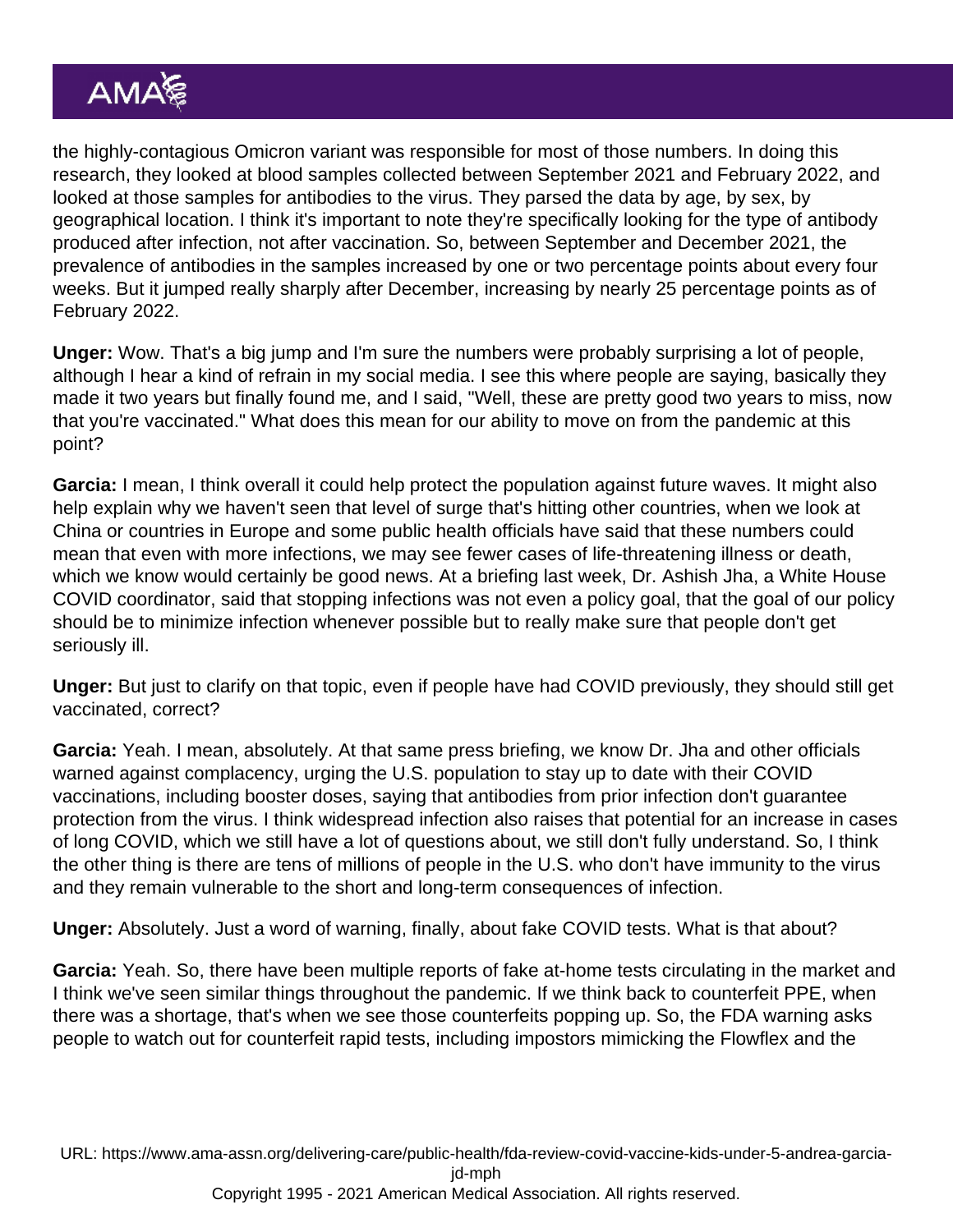the highly-contagious Omicron variant was responsible for most of those numbers. In doing this research, they looked at blood samples collected between September 2021 and February 2022, and looked at those samples for antibodies to the virus. They parsed the data by age, by sex, by geographical location. I think it's important to note they're specifically looking for the type of antibody produced after infection, not after vaccination. So, between September and December 2021, the prevalence of antibodies in the samples increased by one or two percentage points about every four weeks. But it jumped really sharply after December, increasing by nearly 25 percentage points as of February 2022.

Unger: Wow. That's a big jump and I'm sure the numbers were probably surprising a lot of people, although I hear a kind of refrain in my social media. I see this where people are saying, basically they made it two years but finally found me, and I said, "Well, these are pretty good two years to miss, now that you're vaccinated." What does this mean for our ability to move on from the pandemic at this point?

Garcia: I mean, I think overall it could help protect the population against future waves. It might also help explain why we haven't seen that level of surge that's hitting other countries, when we look at China or countries in Europe and some public health officials have said that these numbers could mean that even with more infections, we may see fewer cases of life-threatening illness or death, which we know would certainly be good news. At a briefing last week, Dr. Ashish Jha, a White House COVID coordinator, said that stopping infections was not even a policy goal, that the goal of our policy should be to minimize infection whenever possible but to really make sure that people don't get seriously ill.

Unger: But just to clarify on that topic, even if people have had COVID previously, they should still get vaccinated, correct?

Garcia: Yeah. I mean, absolutely. At that same press briefing, we know Dr. Jha and other officials warned against complacency, urging the U.S. population to stay up to date with their COVID vaccinations, including booster doses, saying that antibodies from prior infection don't guarantee protection from the virus. I think widespread infection also raises that potential for an increase in cases of long COVID, which we still have a lot of questions about, we still don't fully understand. So, I think the other thing is there are tens of millions of people in the U.S. who don't have immunity to the virus and they remain vulnerable to the short and long-term consequences of infection.

Unger: Absolutely. Just a word of warning, finally, about fake COVID tests. What is that about?

Garcia: Yeah. So, there have been multiple reports of fake at-home tests circulating in the market and I think we've seen similar things throughout the pandemic. If we think back to counterfeit PPE, when there was a shortage, that's when we see those counterfeits popping up. So, the FDA warning asks people to watch out for counterfeit rapid tests, including impostors mimicking the Flowflex and the